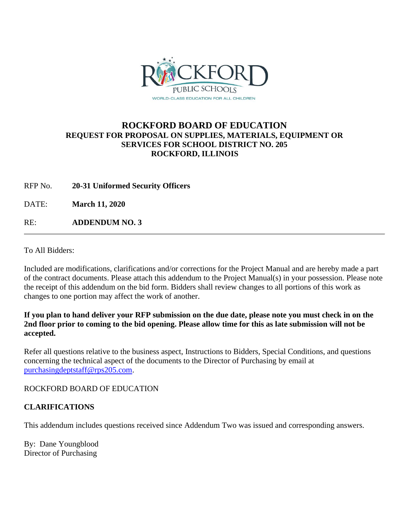

## **ROCKFORD BOARD OF EDUCATION REQUEST FOR PROPOSAL ON SUPPLIES, MATERIALS, EQUIPMENT OR SERVICES FOR SCHOOL DISTRICT NO. 205 ROCKFORD, ILLINOIS**

RFP No. **20-31 Uniformed Security Officers**

DATE: **March 11, 2020**

RE: **ADDENDUM NO. 3**

To All Bidders:

Included are modifications, clarifications and/or corrections for the Project Manual and are hereby made a part of the contract documents. Please attach this addendum to the Project Manual(s) in your possession. Please note the receipt of this addendum on the bid form. Bidders shall review changes to all portions of this work as changes to one portion may affect the work of another.

## **If you plan to hand deliver your RFP submission on the due date, please note you must check in on the 2nd floor prior to coming to the bid opening. Please allow time for this as late submission will not be accepted.**

Refer all questions relative to the business aspect, Instructions to Bidders, Special Conditions, and questions concerning the technical aspect of the documents to the Director of Purchasing by email at [purchasingdeptstaff@rps205.com.](mailto:purchasingdeptstaff@rps205.com)

ROCKFORD BOARD OF EDUCATION

## **CLARIFICATIONS**

This addendum includes questions received since Addendum Two was issued and corresponding answers.

By: Dane Youngblood Director of Purchasing